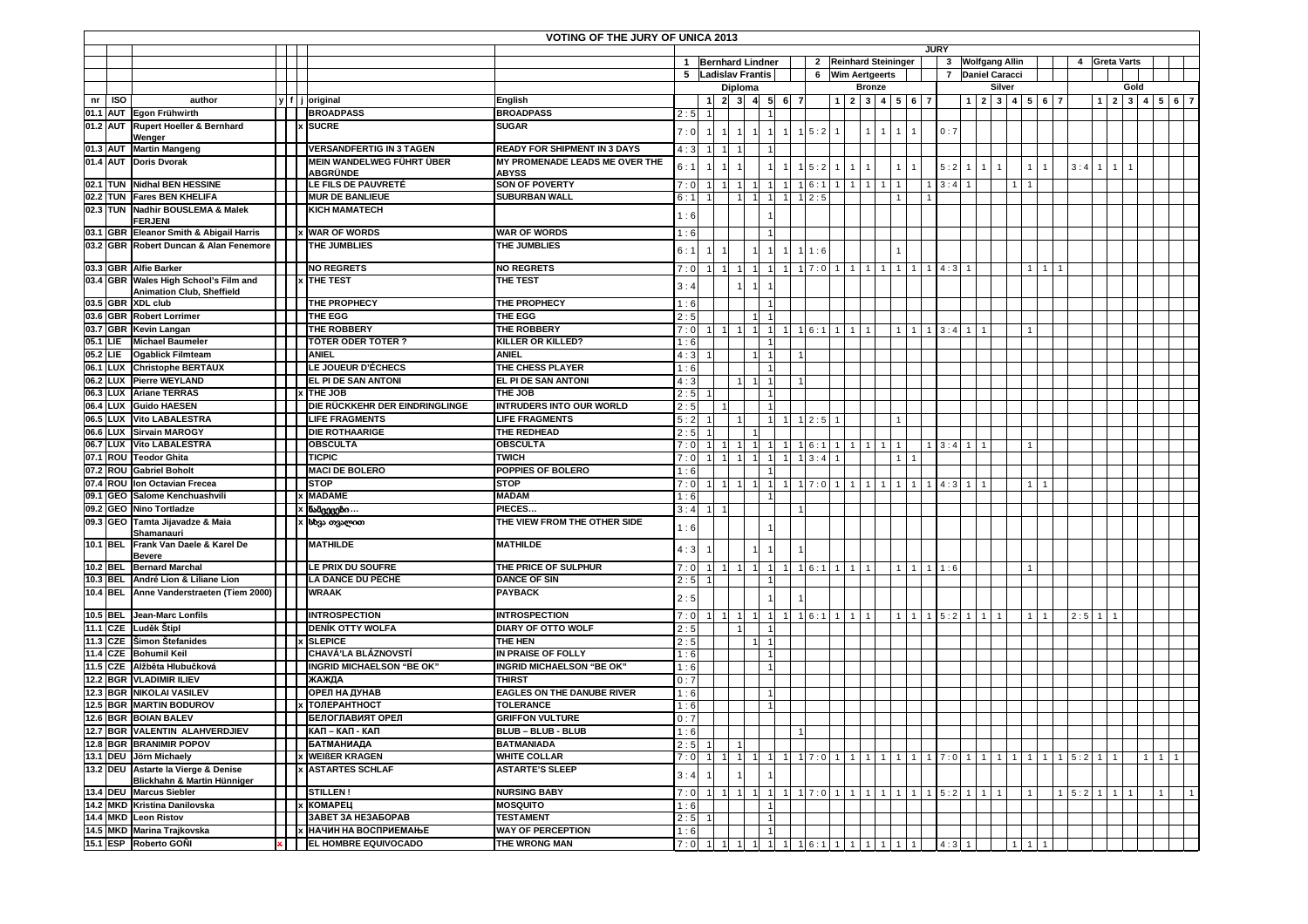| <b>VOTING OF THE JURY OF UNICA 2013</b><br><b>JURY</b> |          |                                                                  |  |  |                                                |                                               |            |                               |                     |                     |                    |   |                    |                                                                             |                                |                  |                              |                |  |                                          |     |                                           |        |                                          |                |               |              |                                               |              |                     |  |                |  |  |
|--------------------------------------------------------|----------|------------------------------------------------------------------|--|--|------------------------------------------------|-----------------------------------------------|------------|-------------------------------|---------------------|---------------------|--------------------|---|--------------------|-----------------------------------------------------------------------------|--------------------------------|------------------|------------------------------|----------------|--|------------------------------------------|-----|-------------------------------------------|--------|------------------------------------------|----------------|---------------|--------------|-----------------------------------------------|--------------|---------------------|--|----------------|--|--|
|                                                        |          |                                                                  |  |  |                                                |                                               |            |                               |                     |                     |                    |   |                    |                                                                             |                                |                  |                              |                |  |                                          |     |                                           |        |                                          |                |               |              |                                               |              |                     |  |                |  |  |
|                                                        |          |                                                                  |  |  |                                                |                                               |            |                               |                     |                     | 1 Bernhard Lindner |   |                    | 2 Reinhard Steininger                                                       |                                |                  |                              |                |  |                                          |     | 3 Wolfgang Allin<br><b>Daniel Caracci</b> |        |                                          |                |               |              | 4 Greta Varts                                 |              |                     |  |                |  |  |
|                                                        |          |                                                                  |  |  |                                                |                                               |            | 5 Ladislav Frantis<br>Diploma |                     |                     |                    |   |                    |                                                                             |                                | 6 Wim Aertgeerts |                              |                |  | $\overline{7}$                           |     |                                           |        |                                          |                |               |              |                                               | Gold         |                     |  |                |  |  |
| nr                                                     | ISO      | author                                                           |  |  | y f j original                                 | <b>English</b>                                |            |                               | $\overline{2}$      | 3 <sup>1</sup>      | -5                 | 6 |                    |                                                                             | $1 \quad 2 \quad 3$            | <b>Bronze</b>    | $4 \ 5 \ 6 \ 7$              |                |  |                                          |     |                                           | Silver | 1 2 3 4 5 6 7                            |                |               |              | $1 \mid 2 \mid 3 \mid 4 \mid 5 \mid 6 \mid 7$ |              |                     |  |                |  |  |
| 01.1 AUT                                               |          | Egon Frühwirth                                                   |  |  | <b>BROADPASS</b>                               | <b>BROADPASS</b>                              | 2:5        |                               |                     |                     |                    |   |                    |                                                                             |                                |                  |                              |                |  |                                          |     |                                           |        |                                          |                |               |              |                                               |              |                     |  |                |  |  |
| 01.2 AUT                                               |          | Rupert Hoeller & Bernhard                                        |  |  | <b>SUCRE</b>                                   | <b>SUGAR</b>                                  |            |                               |                     |                     |                    |   |                    |                                                                             |                                |                  |                              |                |  |                                          |     |                                           |        |                                          |                |               |              |                                               |              |                     |  |                |  |  |
|                                                        |          | Wenger                                                           |  |  |                                                |                                               | 7:0        |                               | $\overline{1}$      | 1                   |                    |   | 15:2               |                                                                             | $\mathbf{1}$                   |                  | $\mathbf{1}$                 | $\mathbf{1}$   |  | 0:7                                      |     |                                           |        |                                          |                |               |              |                                               |              |                     |  |                |  |  |
| 01.3 AUT                                               |          | <b>Martin Mangeng</b>                                            |  |  | <b>VERSANDFERTIG IN 3 TAGEN</b>                | <b>READY FOR SHIPMENT IN 3 DAYS</b>           | 4:3        |                               | $\overline{1}$      | 1                   |                    |   |                    |                                                                             |                                |                  |                              |                |  |                                          |     |                                           |        |                                          |                |               |              |                                               |              |                     |  |                |  |  |
|                                                        |          | 01.4 AUT Doris Dvorak                                            |  |  | MEIN WANDELWEG FÜHRT ÜBER                      | MY PROMENADE LEADS ME OVER THE                | 6:1        |                               |                     |                     |                    |   |                    | 5:2                                                                         |                                |                  | $\mathbf{1}$                 | $\mathbf{1}$   |  | 5:2                                      |     |                                           |        |                                          | $\overline{1}$ | 3:4           | $\mathbf{1}$ | $\mathbf{1}$                                  | $\mathbf{1}$ |                     |  |                |  |  |
|                                                        |          |                                                                  |  |  | <b>ABGRÜNDE</b>                                | <b>ABYSS</b>                                  |            |                               |                     |                     |                    |   |                    |                                                                             |                                |                  |                              |                |  |                                          |     |                                           |        |                                          |                |               |              |                                               |              |                     |  |                |  |  |
|                                                        |          | 02.1 TUN Nidhal BEN HESSINE                                      |  |  | LE FILS DE PAUVRETÉ<br><b>MUR DE BANLIEUE</b>  | <b>SON OF POVERTY</b><br><b>SUBURBAN WALL</b> | 7:0        |                               | $\overline{1}$      | $\overline{1}$      |                    |   | 1 6:1              |                                                                             | $\mathbf{1}$                   | $\mathbf{1}$     | $\mathbf{1}$<br>$\mathbf{1}$ |                |  | $1 \quad 3:4$                            |     |                                           |        | $\overline{1}$                           |                |               |              |                                               |              |                     |  |                |  |  |
|                                                        |          | 02.2 TUN Fares BEN KHELIFA<br>02.3 TUN Nadhir BOUSLEMA & Malek   |  |  | <b>KICH MAMATECH</b>                           |                                               | 6 : 1      |                               |                     | 11                  |                    |   | 12:5               |                                                                             |                                |                  |                              |                |  |                                          |     |                                           |        |                                          |                |               |              |                                               |              |                     |  |                |  |  |
|                                                        |          | <b>FERJENI</b>                                                   |  |  |                                                |                                               | 1:6        |                               |                     |                     |                    |   |                    |                                                                             |                                |                  |                              |                |  |                                          |     |                                           |        |                                          |                |               |              |                                               |              |                     |  |                |  |  |
|                                                        |          | 03.1 GBR Eleanor Smith & Abigail Harris                          |  |  | x WAR OF WORDS                                 | <b>WAR OF WORDS</b>                           | 1:6        |                               |                     |                     |                    |   |                    |                                                                             |                                |                  |                              |                |  |                                          |     |                                           |        |                                          |                |               |              |                                               |              |                     |  |                |  |  |
|                                                        |          | 03.2 GBR Robert Duncan & Alan Fenemore                           |  |  | THE JUMBLIES                                   | THE JUMBLIES                                  | 6:1        |                               |                     |                     |                    |   | 11:6               |                                                                             |                                |                  |                              |                |  |                                          |     |                                           |        |                                          |                |               |              |                                               |              |                     |  |                |  |  |
|                                                        |          |                                                                  |  |  |                                                |                                               |            |                               |                     |                     |                    |   |                    |                                                                             |                                |                  |                              |                |  |                                          |     |                                           |        |                                          |                |               |              |                                               |              |                     |  |                |  |  |
|                                                        |          | 03.3 GBR Alfie Barker                                            |  |  | <b>NO REGRETS</b>                              | <b>NO REGRETS</b>                             | 7:0        |                               | $1$ 1 1             |                     | $\overline{1}$     |   |                    | $17:0$ 1 1 1                                                                |                                |                  | 1                            |                |  | 1 1 1 4 : 3 1                            |     |                                           |        | $1 \quad 1 \quad 1$                      |                |               |              |                                               |              |                     |  |                |  |  |
| 03.4 GBR                                               |          | Wales High School's Film and<br><b>Animation Club, Sheffield</b> |  |  | <b>x THE TEST</b>                              | THE TEST                                      | 3:4        |                               |                     |                     |                    |   |                    |                                                                             |                                |                  |                              |                |  |                                          |     |                                           |        |                                          |                |               |              |                                               |              |                     |  |                |  |  |
|                                                        |          | 03.5 GBR XDL club                                                |  |  | THE PROPHECY                                   | THE PROPHECY                                  | 1:6        |                               |                     |                     |                    |   |                    |                                                                             |                                |                  |                              |                |  |                                          |     |                                           |        |                                          |                |               |              |                                               |              |                     |  |                |  |  |
|                                                        |          | 03.6 GBR Robert Lorrimer                                         |  |  | THE EGG                                        | THE EGG                                       | 2:5        |                               |                     |                     |                    |   |                    |                                                                             |                                |                  |                              |                |  |                                          |     |                                           |        |                                          |                |               |              |                                               |              |                     |  |                |  |  |
|                                                        |          | 03.7 GBR Kevin Langan                                            |  |  | THE ROBBERY                                    | <b>THE ROBBERY</b>                            | 7:0        |                               |                     |                     | $1$ 1 1 1 1 1      |   |                    | $1 \ 1 \ 6:1 \ 1 \ 1 \ 1$                                                   |                                |                  |                              |                |  | $1 \mid 1 \mid 1 \mid 3:4 \mid 1 \mid 1$ |     |                                           |        | $\mathbf{1}$                             |                |               |              |                                               |              |                     |  |                |  |  |
| 05.1                                                   | LIE      | <b>Michael Baumeler</b>                                          |  |  | <b>TÖTER ODER TOTER?</b>                       | KILLER OR KILLED?                             | 1:6        |                               |                     |                     |                    |   |                    |                                                                             |                                |                  |                              |                |  |                                          |     |                                           |        |                                          |                |               |              |                                               |              |                     |  |                |  |  |
| 05.2                                                   | LIE      | <b>Ogablick Filmteam</b>                                         |  |  | <b>ANIEL</b>                                   | <b>ANIEL</b>                                  | 4:3        |                               |                     |                     |                    |   |                    |                                                                             |                                |                  |                              |                |  |                                          |     |                                           |        |                                          |                |               |              |                                               |              |                     |  |                |  |  |
| 06.1                                                   |          | LUX Christophe BERTAUX                                           |  |  | LE JOUEUR D'ÉCHECS                             | THE CHESS PLAYER                              | 1:6        |                               |                     |                     |                    |   |                    |                                                                             |                                |                  |                              |                |  |                                          |     |                                           |        |                                          |                |               |              |                                               |              |                     |  |                |  |  |
| 06.2                                                   |          | <b>LUX</b> Pierre WEYLAND                                        |  |  | EL PI DE SAN ANTONI                            | EL PI DE SAN ANTONI                           | 4:3        |                               |                     | 11                  |                    |   |                    |                                                                             |                                |                  |                              |                |  |                                          |     |                                           |        |                                          |                |               |              |                                               |              |                     |  |                |  |  |
| 06.3                                                   |          | <b>LUX</b> Ariane TERRAS                                         |  |  | <b>x</b> THE JOB                               | <b>THE JOB</b>                                | 2:5        |                               |                     |                     |                    |   |                    |                                                                             |                                |                  |                              |                |  |                                          |     |                                           |        |                                          |                |               |              |                                               |              |                     |  |                |  |  |
|                                                        |          | 06.4 LUX Guido HAESEN                                            |  |  | DIE RÜCKKEHR DER EINDRINGLINGE                 | <b>INTRUDERS INTO OUR WORLD</b>               | 2:5        |                               |                     |                     |                    |   |                    |                                                                             |                                |                  |                              |                |  |                                          |     |                                           |        |                                          |                |               |              |                                               |              |                     |  |                |  |  |
| 06.5                                                   | LUX      | <b>Vito LABALESTRA</b><br>06.6 LUX Sirvain MAROGY                |  |  | <b>LIFE FRAGMENTS</b>                          | <b>LIFE FRAGMENTS</b>                         | 5:2        |                               |                     | 11                  |                    |   | 12:5               |                                                                             | $\overline{1}$                 |                  |                              |                |  |                                          |     |                                           |        |                                          |                |               |              |                                               |              |                     |  |                |  |  |
|                                                        |          | 06.7 LUX Vito LABALESTRA                                         |  |  | <b>DIE ROTHAARIGE</b><br><b>OBSCULTA</b>       | THE REDHEAD<br><b>OBSCULTA</b>                | 2:5        |                               |                     |                     |                    |   |                    |                                                                             |                                |                  |                              |                |  |                                          |     |                                           |        |                                          |                |               |              |                                               |              |                     |  |                |  |  |
|                                                        | 07.1 ROU | <b>Teodor Ghita</b>                                              |  |  | <b>TICPIC</b>                                  | TWICH                                         | 7:0<br>7:0 |                               | $1 \quad 1$<br>11   | $\overline{1}$<br>1 |                    |   | 1 6:1<br>$1 \ 3:4$ |                                                                             | 1 <sup>1</sup><br>$\mathbf{1}$ | $\mathbf{1}$     | $\mathbf{1}$<br>$\mathbf{1}$ | $\mathbf{1}$   |  | $1 \ 3:4 \ 1 \ 1$                        |     |                                           |        |                                          |                |               |              |                                               |              |                     |  |                |  |  |
|                                                        |          | 07.2 ROU Gabriel Boholt                                          |  |  | <b>MACI DE BOLERO</b>                          | POPPIES OF BOLERO                             | 1:6        |                               |                     |                     |                    |   |                    |                                                                             |                                |                  |                              |                |  |                                          |     |                                           |        |                                          |                |               |              |                                               |              |                     |  |                |  |  |
|                                                        |          | 07.4 ROU Ion Octavian Frecea                                     |  |  | <b>STOP</b>                                    | <b>STOP</b>                                   | 7:0        |                               | $1$ 1 $1$           |                     |                    |   |                    | $17:0$ 1 1                                                                  |                                | $\mathbf{1}$     | 1 <sup>1</sup><br>1          | 1 <sup>1</sup> |  | $1 \t4:3$                                | 111 |                                           |        | $1 \mid 1$                               |                |               |              |                                               |              |                     |  |                |  |  |
| 09.1                                                   |          | <b>GEO</b> Salome Kenchuashvili                                  |  |  | x MADAME                                       | <b>MADAM</b>                                  | 1:6        |                               |                     |                     |                    |   |                    |                                                                             |                                |                  |                              |                |  |                                          |     |                                           |        |                                          |                |               |              |                                               |              |                     |  |                |  |  |
|                                                        |          | 09.2 GEO Nino Tortladze                                          |  |  | X ნამცევები …                                  | PIECES.                                       | 3:4        |                               |                     |                     |                    |   |                    |                                                                             |                                |                  |                              |                |  |                                          |     |                                           |        |                                          |                |               |              |                                               |              |                     |  |                |  |  |
|                                                        |          | 09.3 GEO Tamta Jijavadze & Maia                                  |  |  | x სხვა თვალით                                  | THE VIEW FROM THE OTHER SIDE                  |            |                               |                     |                     |                    |   |                    |                                                                             |                                |                  |                              |                |  |                                          |     |                                           |        |                                          |                |               |              |                                               |              |                     |  |                |  |  |
|                                                        |          | Shamanauri                                                       |  |  |                                                |                                               | 1:6        |                               |                     |                     |                    |   |                    |                                                                             |                                |                  |                              |                |  |                                          |     |                                           |        |                                          |                |               |              |                                               |              |                     |  |                |  |  |
|                                                        |          | 10.1 BEL Frank Van Daele & Karel De<br><b>Bevere</b>             |  |  | <b>MATHILDE</b>                                | <b>MATHILDE</b>                               | 4:3        |                               |                     |                     |                    |   |                    |                                                                             |                                |                  |                              |                |  |                                          |     |                                           |        |                                          |                |               |              |                                               |              |                     |  |                |  |  |
| 10.2 BEL                                               |          | <b>Bernard Marchal</b>                                           |  |  | <b>LE PRIX DU SOUFRE</b>                       | THE PRICE OF SULPHUR                          | 7:0        |                               |                     |                     |                    |   |                    | $1 \mid 1 \mid 1 \mid 1 \mid 1 \mid 1 \mid 1 \mid 6:1 \mid 1 \mid 1 \mid 1$ |                                |                  |                              |                |  | $1 \mid 1 \mid 1 \mid 1:6$               |     |                                           |        | $\mathbf{1}$                             |                |               |              |                                               |              |                     |  |                |  |  |
|                                                        |          | 10.3 BEL André Lion & Liliane Lion                               |  |  | <b>LA DANCE DU PÉCHÉ</b>                       | <b>DANCE OF SIN</b>                           | 2:5        |                               |                     |                     |                    |   |                    |                                                                             |                                |                  |                              |                |  |                                          |     |                                           |        |                                          |                |               |              |                                               |              |                     |  |                |  |  |
|                                                        |          | 10.4 BEL Anne Vanderstraeten (Tiem 2000)                         |  |  | <b>WRAAK</b>                                   | <b>PAYBACK</b>                                | 2:5        |                               |                     |                     |                    |   |                    |                                                                             |                                |                  |                              |                |  |                                          |     |                                           |        |                                          |                |               |              |                                               |              |                     |  |                |  |  |
|                                                        |          |                                                                  |  |  |                                                |                                               |            |                               |                     |                     |                    |   |                    |                                                                             |                                |                  |                              |                |  |                                          |     |                                           |        |                                          |                |               |              |                                               |              |                     |  |                |  |  |
| 10.5 BEL                                               |          | Jean-Marc Lonfils                                                |  |  | <b>INTROSPECTION</b>                           | <b>INTROSPECTION</b>                          | 7:0        |                               |                     | $1 \quad 1$         | -11                |   |                    | $16:1$ 1 1 1                                                                |                                |                  | 1 <sup>1</sup>               |                |  | $1 \mid 1 \mid 5:2 \mid 1 \mid 1$        |     | l 1                                       |        | 111                                      |                | 2:5           | $\mathbf{1}$ |                                               |              |                     |  |                |  |  |
|                                                        |          | 11.1 CZE Luděk Štipl                                             |  |  | <b>DENIK OTTY WOLFA</b>                        | <b>DIARY OF OTTO WOLF</b>                     | 2:5        |                               |                     | 11                  |                    |   |                    |                                                                             |                                |                  |                              |                |  |                                          |     |                                           |        |                                          |                |               |              |                                               |              |                     |  |                |  |  |
|                                                        |          | 11.3 CZE Simon Stefanides<br>11.4 CZE Bohumil Keil               |  |  | <b>x SLEPICE</b><br><b>CHAVÁ'LA BLÁZNOVSTÍ</b> | <b>THE HEN</b><br>IN PRAISE OF FOLLY          | 2:5<br>1:6 |                               |                     |                     |                    |   |                    |                                                                             |                                |                  |                              |                |  |                                          |     |                                           |        |                                          |                |               |              |                                               |              |                     |  |                |  |  |
|                                                        |          | 11.5 CZE Alžběta Hlubučková                                      |  |  | <b>INGRID MICHAELSON "BE OK"</b>               | <b>INGRID MICHAELSON "BE OK"</b>              | 1:6        |                               |                     |                     |                    |   |                    |                                                                             |                                |                  |                              |                |  |                                          |     |                                           |        |                                          |                |               |              |                                               |              |                     |  |                |  |  |
|                                                        | 12.2 BGR | <b>VLADIMIR ILIEV</b>                                            |  |  | ЖАЖДА                                          | <b>THIRST</b>                                 | 0:7        |                               |                     |                     |                    |   |                    |                                                                             |                                |                  |                              |                |  |                                          |     |                                           |        |                                          |                |               |              |                                               |              |                     |  |                |  |  |
|                                                        |          | 12.3 BGR NIKOLAI VASILEV                                         |  |  | ОРЕЛ НА ДУНАВ                                  | <b>EAGLES ON THE DANUBE RIVER</b>             | 1:6        |                               |                     |                     |                    |   |                    |                                                                             |                                |                  |                              |                |  |                                          |     |                                           |        |                                          |                |               |              |                                               |              |                     |  |                |  |  |
|                                                        |          | <b>12.5 BGR MARTIN BODUROV</b>                                   |  |  | <b>x ТОЛЕРАНТНОСТ</b>                          | <b>TOLERANCE</b>                              | 1:6        |                               |                     |                     |                    |   |                    |                                                                             |                                |                  |                              |                |  |                                          |     |                                           |        |                                          |                |               |              |                                               |              |                     |  |                |  |  |
|                                                        |          | 12.6 BGR BOIAN BALEV                                             |  |  | БЕЛОГЛАВИЯТ ОРЕЛ                               | <b>GRIFFON VULTURE</b>                        | 0:7        |                               |                     |                     |                    |   |                    |                                                                             |                                |                  |                              |                |  |                                          |     |                                           |        |                                          |                |               |              |                                               |              |                     |  |                |  |  |
|                                                        |          | 12.7 BGR VALENTIN ALAHVERDJIEV                                   |  |  | <b>IIKAN – КАП - КАП</b>                       | BLUB - BLUB - BLUB                            | 1:6        |                               |                     |                     |                    |   |                    |                                                                             |                                |                  |                              |                |  |                                          |     |                                           |        |                                          |                |               |              |                                               |              |                     |  |                |  |  |
|                                                        |          | 12.8 BGR BRANIMIR POPOV                                          |  |  | БАТМАНИАДА                                     | <b>BATMANIADA</b>                             | 2:5        |                               |                     | 11                  |                    |   |                    |                                                                             |                                |                  |                              |                |  |                                          |     |                                           |        |                                          |                |               |              |                                               |              |                     |  |                |  |  |
|                                                        |          | 13.1 DEU Jörn Michaely                                           |  |  | x WEIßER KRAGEN                                | <b>WHITE COLLAR</b>                           | 7:0        |                               | $1$ 1 1 1           |                     |                    |   |                    | $1 \mid 1 \mid 7:0 \mid 1 \mid 1 \mid 1 \mid 1$                             |                                |                  |                              |                |  |                                          |     |                                           |        | $11$ 1 $1$ 7:0 1 1 1 1 1 1 1 1 1 5:2 1 1 |                |               |              |                                               |              | $1 \quad 1 \quad 1$ |  |                |  |  |
|                                                        |          | 13.2 DEU Astarte la Vierge & Denise                              |  |  | <b>ASTARTES SCHLAF</b>                         | <b>ASTARTE'S SLEEP</b>                        | 3:4        |                               |                     |                     |                    |   |                    |                                                                             |                                |                  |                              |                |  |                                          |     |                                           |        |                                          |                |               |              |                                               |              |                     |  |                |  |  |
|                                                        |          | Blickhahn & Martin Hünniger<br>13.4 DEU Marcus Siebler           |  |  | STILLEN!                                       | <b>NURSING BABY</b>                           | 7:0        |                               | $1 \quad 1 \quad 1$ |                     |                    |   |                    | 17:011111111111115:2111111                                                  |                                |                  |                              |                |  |                                          |     |                                           |        | $\overline{1}$                           |                | $1 \ 5:2 \ 1$ |              | $1 \quad 1$                                   |              | $\mathbf{1}$        |  | $\overline{1}$ |  |  |
|                                                        |          | 14.2 MKD Kristina Danilovska                                     |  |  | x КОМАРЕЦ                                      | <b>MOSQUITO</b>                               | 1:6        |                               |                     |                     |                    |   |                    |                                                                             |                                |                  |                              |                |  |                                          |     |                                           |        |                                          |                |               |              |                                               |              |                     |  |                |  |  |
|                                                        |          | 14.4 MKD Leon Ristov                                             |  |  | 3ABET 3A HE3A5OPAB                             | <b>TESTAMENT</b>                              | 2:5        |                               |                     |                     |                    |   |                    |                                                                             |                                |                  |                              |                |  |                                          |     |                                           |        |                                          |                |               |              |                                               |              |                     |  |                |  |  |
|                                                        |          | 14.5 MKD Marina Trajkovska                                       |  |  | <b>x НАЧИН НА ВОСПРИЕМАЊЕ</b>                  | <b>WAY OF PERCEPTION</b>                      | 1:6        |                               |                     |                     |                    |   |                    |                                                                             |                                |                  |                              |                |  |                                          |     |                                           |        |                                          |                |               |              |                                               |              |                     |  |                |  |  |
|                                                        |          | 15.1 ESP Roberto GONI                                            |  |  | <b>EL HOMBRE EQUIVOCADO</b>                    | THE WRONG MAN                                 | 7:0        |                               | $1 \quad 1$         | 1                   |                    |   |                    | $16:1$ 1 1 1 1 1 1                                                          |                                |                  |                              | $\mathbf{1}$   |  | $4:3$ 1                                  |     |                                           |        | $1$ 1 1                                  |                |               |              |                                               |              |                     |  |                |  |  |
|                                                        |          |                                                                  |  |  |                                                |                                               |            |                               |                     |                     |                    |   |                    |                                                                             |                                |                  |                              |                |  |                                          |     |                                           |        |                                          |                |               |              |                                               |              |                     |  |                |  |  |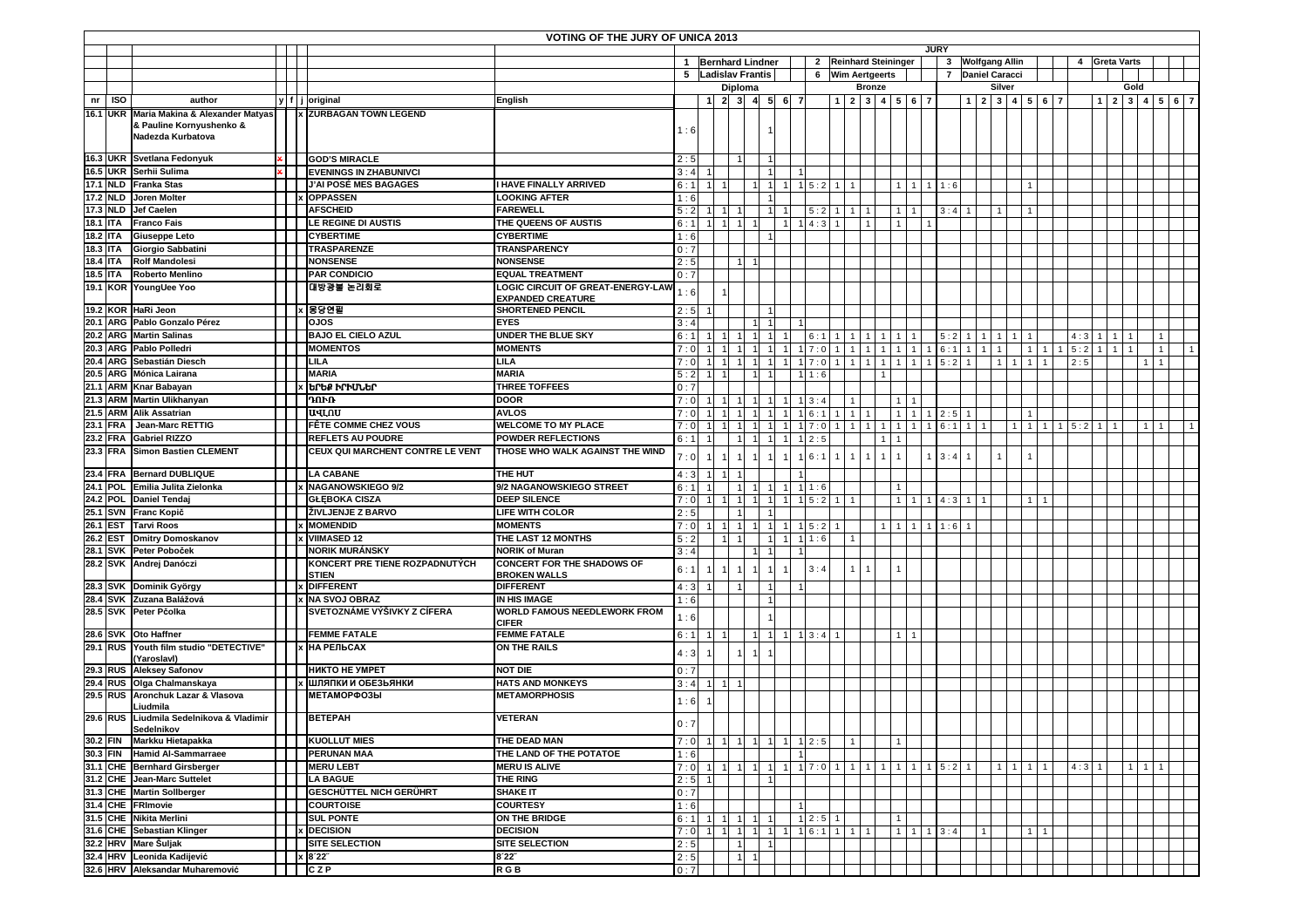|                 |            |                                                                                           |     |                                                | VOTING OF THE JURY OF UNICA 2013                         |            |                         |                 |                |                                  |             |                              |                |                              |              |               |            |                                  |                  |                |                |               |               |             |              |              |  |                   |  |  |
|-----------------|------------|-------------------------------------------------------------------------------------------|-----|------------------------------------------------|----------------------------------------------------------|------------|-------------------------|-----------------|----------------|----------------------------------|-------------|------------------------------|----------------|------------------------------|--------------|---------------|------------|----------------------------------|------------------|----------------|----------------|---------------|---------------|-------------|--------------|--------------|--|-------------------|--|--|
|                 |            |                                                                                           |     |                                                |                                                          |            |                         |                 |                |                                  |             |                              |                |                              |              | <b>JURY</b>   |            |                                  |                  |                |                | 4 Greta Varts |               |             |              |              |  |                   |  |  |
|                 |            |                                                                                           |     |                                                |                                                          |            | 1 Bernhard Lindner      |                 |                |                                  |             | 2 Reinhard Steininger        |                |                              |              |               |            |                                  | 3 Wolfgang Allin |                |                |               |               |             |              |              |  |                   |  |  |
|                 |            |                                                                                           |     |                                                |                                                          |            | 5 Ladislav Frantis      |                 |                |                                  |             | 6 Wim Aertgeerts             |                |                              |              |               |            |                                  | 7 Daniel Caracci |                |                |               |               | Gold        |              |              |  |                   |  |  |
| nr              | <b>ISO</b> | author                                                                                    |     | y f j original                                 | English                                                  |            | -1                      | Diploma         | $2$ 3 4 5 6    |                                  |             | 1 2 3 4 5 6 7                | <b>Bronze</b>  |                              |              |               |            |                                  | Silver           | 1 2 3 4 5 6 7  |                |               |               | $1 \quad 2$ |              |              |  | 3   4   5   6   7 |  |  |
|                 |            |                                                                                           |     | <b>x ZURBAGAN TOWN LEGEND</b>                  |                                                          |            |                         |                 |                |                                  |             |                              |                |                              |              |               |            |                                  |                  |                |                |               |               |             |              |              |  |                   |  |  |
|                 |            | 16.1 UKR Maria Makina & Alexander Matyas<br>& Pauline Kornyushenko &<br>Nadezda Kurbatova |     |                                                |                                                          | 1:6        |                         |                 |                |                                  |             |                              |                |                              |              |               |            |                                  |                  |                |                |               |               |             |              |              |  |                   |  |  |
|                 |            | 16.3 UKR Svetlana Fedonyuk                                                                | × I | <b>GOD'S MIRACLE</b>                           |                                                          | 2:5        |                         |                 |                |                                  |             |                              |                |                              |              |               |            |                                  |                  |                |                |               |               |             |              |              |  |                   |  |  |
|                 |            | 16.5 UKR Serhii Sulima                                                                    |     | <b>EVENINGS IN ZHABUNIVCI</b>                  |                                                          | 3:4        |                         |                 |                |                                  |             |                              |                |                              |              |               |            |                                  |                  |                |                |               |               |             |              |              |  |                   |  |  |
|                 |            | 17.1 NLD Franka Stas                                                                      |     | J'AI POSÉ MES BAGAGES                          | <b>I HAVE FINALLY ARRIVED</b>                            | 6:1        |                         |                 |                | 1                                | $1\ 5:2$    | $\overline{1}$               |                |                              | $\mathbf{1}$ | $1 \mid 1:6$  |            |                                  |                  |                |                |               |               |             |              |              |  |                   |  |  |
| 17.2 NLD        |            | <b>Joren Molter</b>                                                                       |     | x OPPASSEN                                     | <b>LOOKING AFTER</b>                                     | 1:6        |                         |                 |                |                                  |             |                              |                |                              |              |               |            |                                  |                  |                |                |               |               |             |              |              |  |                   |  |  |
|                 | 17.3 NLD   | <b>Jef Caelen</b>                                                                         |     | <b>AFSCHEID</b>                                | <b>FAREWELL</b>                                          | 5:2        |                         |                 |                |                                  | 5:2         | 1   1                        |                |                              |              |               | $3:4$ 1    |                                  |                  |                |                |               |               |             |              |              |  |                   |  |  |
| <b>18.1 ITA</b> |            | <b>Franco Fais</b>                                                                        |     | LE REGINE DI AUSTIS                            | THE QUEENS OF AUSTIS                                     | 6:1        |                         | $1 \quad 1$     |                |                                  | $1 \; 4:3$  | $\overline{1}$               |                |                              |              |               |            |                                  |                  |                |                |               |               |             |              |              |  |                   |  |  |
| 18.2 ITA        |            | <b>Giuseppe Leto</b>                                                                      |     | <b>CYBERTIME</b>                               | <b>CYBERTIME</b>                                         | 1:6        |                         |                 |                |                                  |             |                              |                |                              |              |               |            |                                  |                  |                |                |               |               |             |              |              |  |                   |  |  |
| 18.3 ITA        |            | Giorgio Sabbatini                                                                         |     | <b>TRASPARENZE</b>                             | <b>TRANSPARENCY</b>                                      | 0:7        |                         |                 |                |                                  |             |                              |                |                              |              |               |            |                                  |                  |                |                |               |               |             |              |              |  |                   |  |  |
| 18.4 ITA        |            | <b>Rolf Mandolesi</b>                                                                     |     | <b>NONSENSE</b>                                | <b>NONSENSE</b>                                          | 2:5        |                         |                 |                |                                  |             |                              |                |                              |              |               |            |                                  |                  |                |                |               |               |             |              |              |  |                   |  |  |
| 18.5 ITA        |            | <b>Roberto Menlino</b>                                                                    |     | <b>PAR CONDICIO</b>                            | <b>EQUAL TREATMENT</b>                                   | 0:7        |                         |                 |                |                                  |             |                              |                |                              |              |               |            |                                  |                  |                |                |               |               |             |              |              |  |                   |  |  |
|                 |            | 19.1 KOR YoungUee Yoo                                                                     |     | 대방광불 논리회로                                      | LOGIC CIRCUIT OF GREAT-ENERGY-LAW                        | 1:6        |                         |                 |                |                                  |             |                              |                |                              |              |               |            |                                  |                  |                |                |               |               |             |              |              |  |                   |  |  |
|                 |            | 19.2 KOR HaRi Jeon                                                                        |     | k B 몽당연필                                       | <b>EXPANDED CREATURE</b><br><b>SHORTENED PENCIL</b>      | 2:5        |                         |                 |                |                                  |             |                              |                |                              |              |               |            |                                  |                  |                |                |               |               |             |              |              |  |                   |  |  |
|                 |            | 20.1 ARG Pablo Gonzalo Pérez                                                              |     | <b>OJOS</b>                                    | <b>EYES</b>                                              | 3:4        |                         |                 |                |                                  |             |                              |                |                              |              |               |            |                                  |                  |                |                |               |               |             |              |              |  |                   |  |  |
| 20.2 ARG        |            | <b>Martin Salinas</b>                                                                     |     | <b>BAJO EL CIELO AZUL</b>                      | <b>UNDER THE BLUE SKY</b>                                | 6:1        |                         |                 |                |                                  |             |                              |                |                              |              |               |            | $\overline{1}$<br>$\overline{1}$ | $\overline{1}$   |                |                |               | 4:3           |             | $\mathbf{1}$ |              |  |                   |  |  |
|                 |            | 20.3 ARG Pablo Polledri                                                                   |     | <b>MOMENTOS</b>                                | <b>MOMENTS</b>                                           | 7:0        |                         |                 |                |                                  | 6:1<br>17:0 | $\mathbf{1}$<br>$\mathbf{1}$ | 1 <sup>1</sup> | $\mathbf{1}$<br>$\mathbf{1}$ | $\mathbf{1}$ | 1             | 5:2<br>6:1 | $\overline{1}$                   | $\overline{1}$   | $\overline{1}$ |                |               | 5:2           |             | 1            |              |  |                   |  |  |
|                 |            | 20.4 ARG Sebastián Diesch                                                                 |     | <b>LILA</b>                                    | <b>LILA</b>                                              |            |                         | $\overline{1}$  |                |                                  | 7:0         | $\mathbf{1}$                 | $\mathbf{1}$   | $\mathbf{1}$                 |              |               | 5:2        |                                  | $\mathbf{1}$     |                |                |               | 2:5           |             |              |              |  |                   |  |  |
|                 |            | <b>Mónica Lairana</b>                                                                     |     | <b>MARIA</b>                                   | <b>MARIA</b>                                             | 7:0<br>5:2 |                         |                 |                |                                  | 1:6         |                              |                |                              |              |               |            |                                  |                  |                |                |               |               |             |              |              |  |                   |  |  |
|                 |            | 20.5 ARG Mónica Lairana<br>21.1 ARM Knar Babayan                                          |     | <b>x brbp</b> prpulbr                          | <b>THREE TOFFEES</b>                                     | 0:7        |                         |                 |                |                                  |             |                              |                |                              |              |               |            |                                  |                  |                |                |               |               |             |              |              |  |                   |  |  |
|                 |            | 21.3 ARM Martin Ulikhanyan                                                                |     | ገበኮሁ                                           | <b>DOOR</b>                                              | 7:0        |                         |                 |                |                                  | $1 \ 3:4$   |                              |                |                              |              |               |            |                                  |                  |                |                |               |               |             |              |              |  |                   |  |  |
|                 |            | 21.5 ARM Alik Assatrian                                                                   |     | ้นฯเ.ุดบ                                       | <b>AVLOS</b>                                             | 7:0        |                         |                 |                |                                  | 1 6:1       | $1$ 1                        | $\mathbf{1}$   |                              | $\mathbf{1}$ | $1 \ 2:5 \ 1$ |            |                                  |                  |                |                |               |               |             |              |              |  |                   |  |  |
| 23.1 FRA        |            | <b>Jean-Marc RETTIG</b>                                                                   |     | <b>FÊTE COMME CHEZ VOUS</b>                    | <b>WELCOME TO MY PLACE</b>                               | 7:0        |                         |                 |                |                                  | 7:0         |                              |                |                              |              |               | 6:1        |                                  |                  |                |                |               | $1 \quad 5:2$ |             |              |              |  |                   |  |  |
| 23.2 FRA        |            | <b>Gabriel RIZZO</b>                                                                      |     | REFLETS AU POUDRE                              | <b>POWDER REFLECTIONS</b>                                | 6:1        |                         |                 |                |                                  | $1 \ 2:5$   |                              |                |                              |              |               |            |                                  |                  |                |                |               |               |             |              |              |  |                   |  |  |
| 23.3 FRA        |            | <b>Simon Bastien CLEMENT</b>                                                              |     | CEUX QUI MARCHENT CONTRE LE VENT               | THOSE WHO WALK AGAINST THE WIND                          |            |                         |                 |                |                                  |             |                              |                |                              |              |               |            |                                  |                  |                |                |               |               |             |              |              |  |                   |  |  |
|                 |            |                                                                                           |     |                                                |                                                          | 7:0        |                         |                 |                |                                  | 16:1        |                              | 1              | $\mathbf{1}$                 |              | $1 \ 3:4$     |            |                                  |                  |                |                |               |               |             |              |              |  |                   |  |  |
|                 |            | 23.4 FRA Bernard DUBLIQUE                                                                 |     | LA CABANE                                      | <b>THE HUT</b>                                           | 4:3        |                         | 11 <sub>1</sub> |                |                                  |             |                              |                |                              |              |               |            |                                  |                  |                |                |               |               |             |              |              |  |                   |  |  |
|                 |            | 24.1 POL Emilia Julita Zielonka                                                           |     | x NAGANOWSKIEGO 9/2                            | 9/2 NAGANOWSKIEGO STREET                                 | 6:1        |                         |                 | $\overline{1}$ | 1                                | 11:6        |                              |                |                              |              |               |            |                                  |                  |                |                |               |               |             |              |              |  |                   |  |  |
|                 |            | 24.2 POL Daniel Tendaj                                                                    |     | <b>GŁĘBOKA CISZA</b>                           | <b>DEEP SILENCE</b>                                      | 7:0        |                         |                 |                | 1                                | 1   5 : 2   |                              |                |                              |              | $1 \t4:3 \t1$ |            |                                  |                  |                |                |               |               |             |              |              |  |                   |  |  |
|                 |            | 25.1 SVN Franc Kopič                                                                      |     | <b>ŽIVLJENJE Z BARVO</b>                       | LIFE WITH COLOR                                          | 2:5        |                         |                 |                |                                  |             |                              |                |                              |              |               |            |                                  |                  |                |                |               |               |             |              |              |  |                   |  |  |
| 26.1 EST        |            | <b>Tarvi Roos</b>                                                                         |     | <b>x MOMENDID</b>                              | <b>MOMENTS</b>                                           | 7:0        |                         | $111$           | -11            | $\overline{1}$<br>$\overline{1}$ | 15:2        |                              |                | 1<br>1                       | $\mathbf{1}$ | 1   1 : 6     |            |                                  |                  |                |                |               |               |             |              |              |  |                   |  |  |
| 26.2            |            | <b>EST</b> Dmitry Domoskanov                                                              |     | x VIIMASED 12                                  | THE LAST 12 MONTHS                                       | 5:2        |                         |                 |                |                                  | 11:6        |                              |                |                              |              |               |            |                                  |                  |                |                |               |               |             |              |              |  |                   |  |  |
|                 |            | 28.1 SVK Peter Poboček                                                                    |     | <b>NORIK MURÁNSKY</b>                          | <b>NORIK of Muran</b>                                    | 3:4        |                         |                 |                |                                  |             |                              |                |                              |              |               |            |                                  |                  |                |                |               |               |             |              |              |  |                   |  |  |
|                 |            | 28.2 SVK Andrej Danóczi                                                                   |     | KONCERT PRE TIENE ROZPADNUTÝCH<br><b>STIEN</b> | <b>CONCERT FOR THE SHADOWS OF</b><br><b>BROKEN WALLS</b> | 6:1        |                         |                 |                |                                  | 3:4         |                              |                |                              |              |               |            |                                  |                  |                |                |               |               |             |              |              |  |                   |  |  |
|                 |            | 28.3 SVK Dominik György                                                                   |     | x DIFFERENT                                    | <b>DIFFERENT</b>                                         | 4:3        |                         |                 |                |                                  |             |                              |                |                              |              |               |            |                                  |                  |                |                |               |               |             |              |              |  |                   |  |  |
|                 |            | 28.4 SVK Zuzana Balážová                                                                  |     | x NA SVOJ OBRAZ                                | IN HIS IMAGE                                             | 1:6        |                         |                 |                |                                  |             |                              |                |                              |              |               |            |                                  |                  |                |                |               |               |             |              |              |  |                   |  |  |
|                 |            | 28.5 SVK Peter Pčolka                                                                     |     | SVETOZNÁME VÝŠIVKY Z CÍFERA                    | WORLD FAMOUS NEEDLEWORK FROM<br><b>CIFER</b>             | 1:6        |                         |                 |                |                                  |             |                              |                |                              |              |               |            |                                  |                  |                |                |               |               |             |              |              |  |                   |  |  |
|                 |            | 28.6 SVK Oto Haffner<br>29.1 RUS Youth film studio "DETECTIVE"                            |     | <b>FEMME FATALE</b><br><b>НА РЕЛЬСАХ</b>       | <b>FEMME FATALE</b>                                      | 6:1        |                         |                 | -11            | $\overline{1}$                   | $1 \ 3:4$   |                              |                |                              |              |               |            |                                  |                  |                |                |               |               |             |              |              |  |                   |  |  |
|                 |            | (Yaroslavl)<br>29.3 RUS Aleksey Safonov                                                   |     | <b>НИКТО НЕ УМРЕТ</b>                          | ON THE RAILS<br><b>NOT DIE</b>                           | 4:3        |                         |                 |                |                                  |             |                              |                |                              |              |               |            |                                  |                  |                |                |               |               |             |              |              |  |                   |  |  |
|                 |            | 29.4 RUS Olga Chalmanskaya                                                                |     | <b>х ШЛЯПКИ И ОБЕЗЬЯНКИ</b>                    | <b>HATS AND MONKEYS</b>                                  | 0:7        |                         |                 |                |                                  |             |                              |                |                              |              |               |            |                                  |                  |                |                |               |               |             |              |              |  |                   |  |  |
|                 |            | 29.5 RUS Aronchuk Lazar & Vlasova                                                         |     | <b>МЕТАМОРФОЗЫ</b>                             | <b>METAMORPHOSIS</b>                                     | 3:4        | $\overline{\mathbf{1}}$ | $1 \vert 1$     |                |                                  |             |                              |                |                              |              |               |            |                                  |                  |                |                |               |               |             |              |              |  |                   |  |  |
|                 |            | Liudmila                                                                                  |     |                                                |                                                          | 1:6        |                         |                 |                |                                  |             |                              |                |                              |              |               |            |                                  |                  |                |                |               |               |             |              |              |  |                   |  |  |
|                 |            | 29.6 RUS Liudmila Sedelnikova & Vladimir<br>Sedelnikov                                    |     | <b>BETEPAH</b>                                 | <b>VETERAN</b>                                           | 0:7        |                         |                 |                |                                  |             |                              |                |                              |              |               |            |                                  |                  |                |                |               |               |             |              |              |  |                   |  |  |
|                 |            | 30.2 FIN Markku Hietapakka                                                                |     | <b>KUOLLUT MIES</b>                            | THE DEAD MAN                                             | 7:0        |                         | $1 \quad 1$     | $\overline{1}$ | 1                                | $1 \ 2:5$   |                              |                |                              |              |               |            |                                  |                  |                |                |               |               |             |              |              |  |                   |  |  |
| 30.3 FIN        |            | <b>Hamid Al-Sammarraee</b>                                                                |     | <b>PERUNAN MAA</b>                             | THE LAND OF THE POTATOE                                  | 1:6        |                         |                 |                |                                  |             |                              |                |                              |              |               |            |                                  |                  |                |                |               |               |             |              |              |  |                   |  |  |
|                 |            | 31.1 CHE Bernhard Girsberger                                                              |     | <b>MERU LEBT</b>                               | <b>MERU IS ALIVE</b>                                     | 7:0        |                         |                 |                |                                  |             |                              |                |                              |              |               |            |                                  |                  | 11111          |                |               | $4:3$ 1       |             | 1            | $\mathbf{1}$ |  |                   |  |  |
|                 |            | 31.2 CHE Jean-Marc Suttelet                                                               |     | <b>LA BAGUE</b>                                | THE RING                                                 | 2:5        |                         |                 |                |                                  |             |                              |                |                              |              |               |            |                                  |                  |                |                |               |               |             |              |              |  |                   |  |  |
|                 |            | 31.3 CHE Martin Sollberger                                                                |     | <b>GESCHÜTTEL NICH GERÜHRT</b>                 | <b>SHAKE IT</b>                                          | 0:7        |                         |                 |                |                                  |             |                              |                |                              |              |               |            |                                  |                  |                |                |               |               |             |              |              |  |                   |  |  |
|                 |            | 31.4 CHE FRImovie                                                                         |     | <b>COURTOISE</b>                               | <b>COURTESY</b>                                          | 1:6        |                         |                 |                |                                  |             |                              |                |                              |              |               |            |                                  |                  |                |                |               |               |             |              |              |  |                   |  |  |
|                 |            | 31.5 CHE Nikita Merlini                                                                   |     | <b>SUL PONTE</b>                               | ON THE BRIDGE                                            | 6:1        | $\mathbf{1}$            | 111             | $\mathbf{1}$   |                                  | $1 \, 2:5$  | $\overline{1}$               |                |                              |              |               |            |                                  |                  |                |                |               |               |             |              |              |  |                   |  |  |
|                 |            | 31.6 CHE Sebastian Klinger<br>32.2 HRV Mare Šuljak                                        |     | <b>x</b> DECISION                              | <b>DECISION</b>                                          | 7:0        | $\overline{1}$          | 111             | $\overline{1}$ | 1                                | 16:1111     |                              |                |                              |              | $1 \quad 3:4$ |            |                                  |                  |                | $\overline{1}$ |               |               |             |              |              |  |                   |  |  |
|                 |            |                                                                                           |     | <b>SITE SELECTION</b>                          | <b>SITE SELECTION</b>                                    | 2:5        |                         |                 |                |                                  |             |                              |                |                              |              |               |            |                                  |                  |                |                |               |               |             |              |              |  |                   |  |  |
|                 |            | 32.4 HRV Leonida Kadijević                                                                |     | x 8'22"                                        | 8'22"                                                    | 2:5        |                         | $\overline{1}$  |                |                                  |             |                              |                |                              |              |               |            |                                  |                  |                |                |               |               |             |              |              |  |                   |  |  |
|                 |            | 32.6 HRV Aleksandar Muharemović                                                           |     | II CZP                                         | R G B                                                    | 0:7        |                         |                 |                |                                  |             |                              |                |                              |              |               |            |                                  |                  |                |                |               |               |             |              |              |  |                   |  |  |